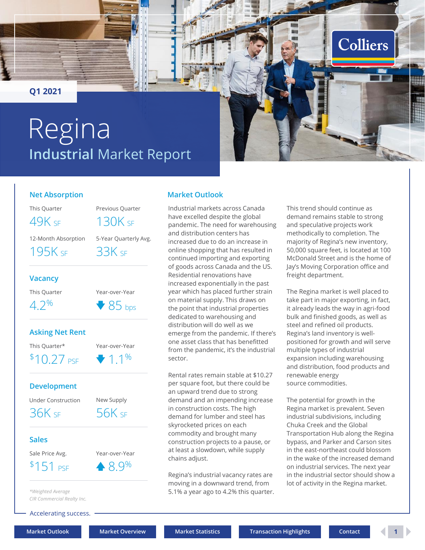<span id="page-0-0"></span>**Q1 2021**

# **Industrial** Market Report Regina

#### **Net Absorption**

This Quarter Previous Quarter

49K SE 130K SE

12-Month Absorption 5-Year Quarterly Avg.

195K sf 33K sf

#### **Vacancy**

This Quarter Year-over-Year



## **Asking Net Rent**

This Quarter\* Year-over-Year 1.1 \$ % 10.27 PSF

**Development**

Under Construction New Supply

36K sf 56K sf

#### **Sales**

Sale Price Avg. Year-over-Year

 $$151 \text{ p}$   $\bullet$  8.9%



*\*Weighted Average CIR Commercial Realty Inc.*

Accelerating success.

## **Market Outlook**

Industrial markets across Canada have excelled despite the global pandemic. The need for warehousing and distribution centers has increased due to do an increase in online shopping that has resulted in continued importing and exporting of goods across Canada and the US. Residential renovations have increased exponentially in the past year which has placed further strain on material supply. This draws on the point that industrial properties dedicated to warehousing and distribution will do well as we emerge from the pandemic. If there's one asset class that has benefitted from the pandemic, it's the industrial sector.

Rental rates remain stable at \$10.27 per square foot, but there could be an upward trend due to strong demand and an impending increase in construction costs. The high demand for lumber and steel has skyrocketed prices on each commodity and brought many construction projects to a pause, or at least a slowdown, while supply chains adjust.

Regina's industrial vacancy rates are moving in a downward trend, from 5.1% a year ago to 4.2% this quarter.

This trend should continue as demand remains stable to strong and speculative projects work methodically to completion. The majority of Regina's new inventory, 50,000 square feet, is located at 100 McDonald Street and is the home of Jay's Moving Corporation office and freight department.

**Colliers** 

The Regina market is well placed to take part in major exporting, in fact, it already leads the way in agri-food bulk and finished goods, as well as steel and refined oil products. Regina's land inventory is wellpositioned for growth and will serve multiple types of industrial expansion including warehousing and distribution, food products and renewable energy source commodities.

The potential for growth in the Regina market is prevalent. Seven industrial subdivisions, including Chuka Creek and the Global Transportation Hub along the Regina bypass, and Parker and Carson sites in the east-northeast could blossom in the wake of the increased demand on industrial services. The next year in the industrial sector should show a lot of activity in the Regina market.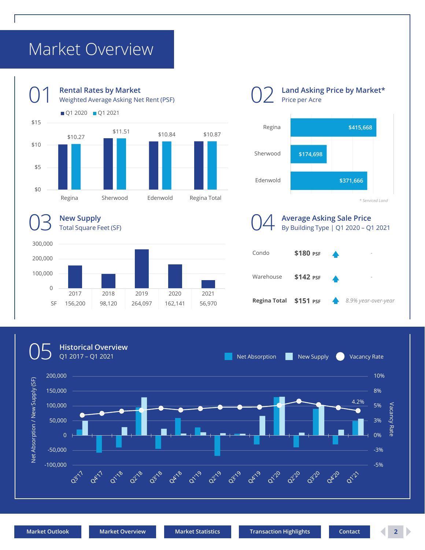# <span id="page-1-0"></span>Market Overview



**Land Asking Price by Market\*** Price per Acre





*\* Serviced Land* Condo **\$180 PSF** *-* Warehouse \$142 PSF **Regina Total \$151 PSF** *8.9% year-over-year* **Average Asking Sale Price** By Building Type | Q1 2020 – Q1 2021

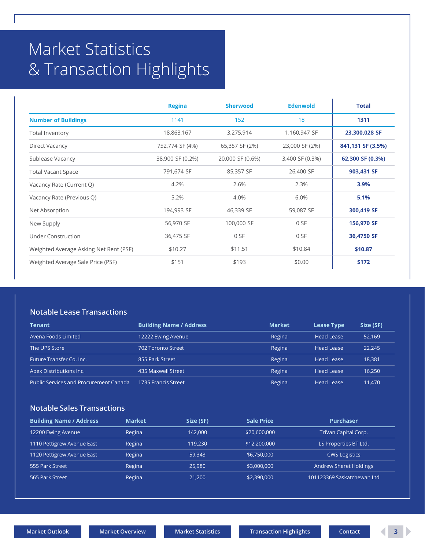# <span id="page-2-0"></span>Market Statistics & Transaction Highlights

|                                        | <b>Regina</b>    | <b>Sherwood</b>  | <b>Edenwold</b> | <b>Total</b>      |
|----------------------------------------|------------------|------------------|-----------------|-------------------|
| <b>Number of Buildings</b>             | 1141             | 152              | 18              | 1311              |
| Total Inventory                        | 18,863,167       | 3,275,914        | 1,160,947 SF    | 23,300,028 SF     |
| Direct Vacancy                         | 752,774 SF (4%)  | 65,357 SF (2%)   | 23,000 SF (2%)  | 841,131 SF (3.5%) |
| Sublease Vacancy                       | 38,900 SF (0.2%) | 20,000 SF (0.6%) | 3,400 SF (0.3%) | 62,300 SF (0.3%)  |
| <b>Total Vacant Space</b>              | 791,674 SF       | 85,357 SF        | 26,400 SF       | 903,431 SF        |
| Vacancy Rate (Current Q)               | 4.2%             | 2.6%             | 2.3%            | 3.9%              |
| Vacancy Rate (Previous Q)              | 5.2%             | 4.0%             | 6.0%            | 5.1%              |
| Net Absorption                         | 194,993 SF       | 46,339 SF        | 59,087 SF       | 300,419 SF        |
| New Supply                             | 56,970 SF        | 100,000 SF       | 0 SF            | 156,970 SF        |
| Under Construction                     | 36,475 SF        | 0 SF             | 0 SF            | 36,4750 SF        |
| Weighted Average Asking Net Rent (PSF) | \$10.27          | \$11.51          | \$10.84         | \$10.87           |
| Weighted Average Sale Price (PSF)      | \$151            | \$193            | \$0.00          | \$172             |

#### **Notable Lease Transactions**

| <b>Tenant</b>                                 | <b>Building Name / Address</b> | <b>Market</b> | <b>Lease Type</b> | Size (SF) |
|-----------------------------------------------|--------------------------------|---------------|-------------------|-----------|
| Avena Foods Limited                           | 12222 Ewing Avenue             | Regina        | <b>Head Lease</b> | 52,169    |
| The UPS Store                                 | 702 Toronto Street             | Regina        | <b>Head Lease</b> | 22.245    |
| Future Transfer Co. Inc.                      | 855 Park Street                | Regina        | <b>Head Lease</b> | 18.381    |
| Apex Distributions Inc.                       | 435 Maxwell Street             | Regina        | <b>Head Lease</b> | 16,250    |
| <b>Public Services and Procurement Canada</b> | 1735 Francis Street            | Regina        | <b>Head Lease</b> | 11,470    |

## **Notable Sales Transactions**

| <b>Building Name / Address</b> | <b>Market</b> | Size (SF) | <b>Sale Price</b> | <b>Purchaser</b>              |
|--------------------------------|---------------|-----------|-------------------|-------------------------------|
| 12200 Ewing Avenue             | Regina        | 142.000   | \$20,600,000      | TriVan Capital Corp.          |
| 1110 Pettigrew Avenue East     | Regina        | 119,230   | \$12,200,000      | LS Properties BT Ltd.         |
| 1120 Pettigrew Avenue East     | Regina        | 59.343    | \$6,750,000       | <b>CWS Logistics</b>          |
| 555 Park Street                | Regina        | 25,980    | \$3,000,000       | <b>Andrew Sheret Holdings</b> |
| 565 Park Street '              | Regina        | 21,200    | \$2,390,000       | 101123369 Saskatchewan Ltd    |

 $\mathbf{r}$